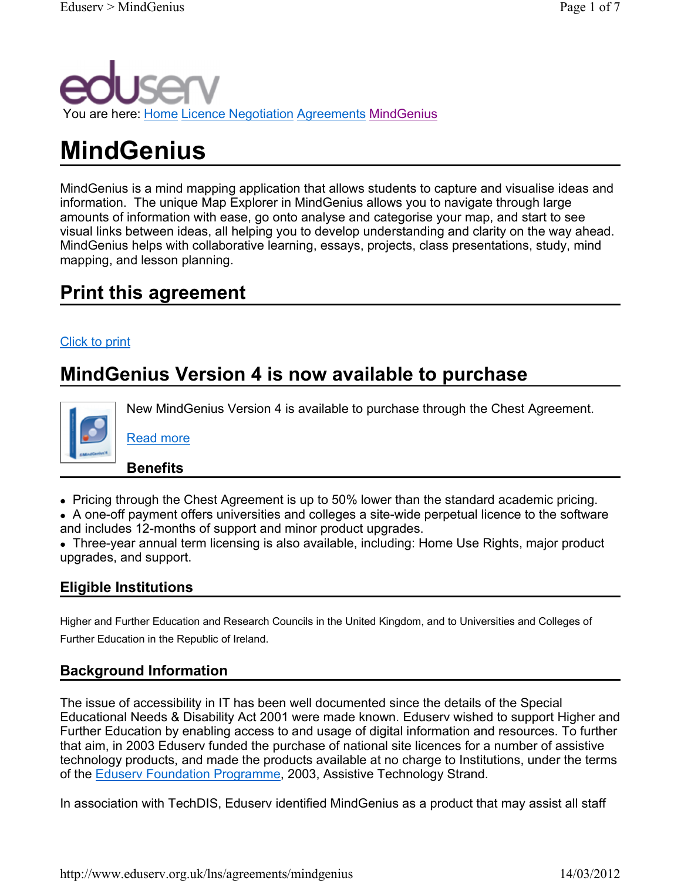

# MindGenius

MindGenius is a mind mapping application that allows students to capture and visualise ideas and information. The unique Map Explorer in MindGenius allows you to navigate through large amounts of information with ease, go onto analyse and categorise your map, and start to see visual links between ideas, all helping you to develop understanding and clarity on the way ahead. MindGenius helps with collaborative learning, essays, projects, class presentations, study, mind mapping, and lesson planning.

# Print this agreement

#### Click to print

# MindGenius Version 4 is now available to purchase



New MindGenius Version 4 is available to purchase through the Chest Agreement.

Benefits

Read more

Pricing through the Chest Agreement is up to 50% lower than the standard academic pricing.

 A one-off payment offers universities and colleges a site-wide perpetual licence to the software and includes 12-months of support and minor product upgrades.

 Three-year annual term licensing is also available, including: Home Use Rights, major product upgrades, and support.

#### Eligible Institutions

Higher and Further Education and Research Councils in the United Kingdom, and to Universities and Colleges of Further Education in the Republic of Ireland.

### Background Information

The issue of accessibility in IT has been well documented since the details of the Special Educational Needs & Disability Act 2001 were made known. Eduserv wished to support Higher and Further Education by enabling access to and usage of digital information and resources. To further that aim, in 2003 Eduserv funded the purchase of national site licences for a number of assistive technology products, and made the products available at no charge to Institutions, under the terms of the Eduserv Foundation Programme, 2003, Assistive Technology Strand.

In association with TechDIS, Eduserv identified MindGenius as a product that may assist all staff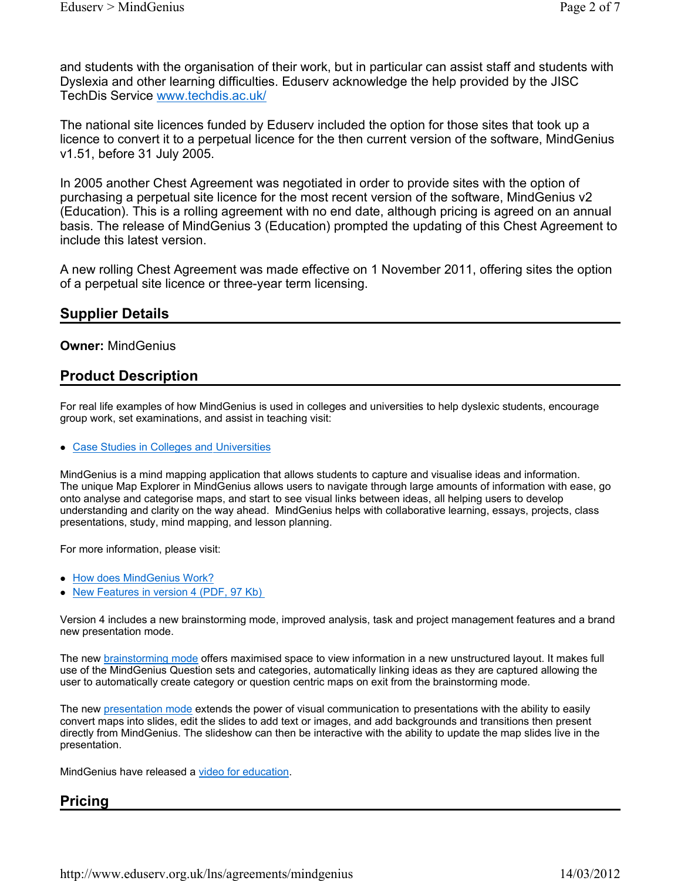and students with the organisation of their work, but in particular can assist staff and students with Dyslexia and other learning difficulties. Eduserv acknowledge the help provided by the JISC TechDis Service www.techdis.ac.uk/

The national site licences funded by Eduserv included the option for those sites that took up a licence to convert it to a perpetual licence for the then current version of the software, MindGenius v1.51, before 31 July 2005.

In 2005 another Chest Agreement was negotiated in order to provide sites with the option of purchasing a perpetual site licence for the most recent version of the software, MindGenius v2 (Education). This is a rolling agreement with no end date, although pricing is agreed on an annual basis. The release of MindGenius 3 (Education) prompted the updating of this Chest Agreement to include this latest version.

A new rolling Chest Agreement was made effective on 1 November 2011, offering sites the option of a perpetual site licence or three-year term licensing.

#### Supplier Details

#### Owner: MindGenius

#### Product Description

For real life examples of how MindGenius is used in colleges and universities to help dyslexic students, encourage group work, set examinations, and assist in teaching visit:

#### Case Studies in Colleges and Universities

MindGenius is a mind mapping application that allows students to capture and visualise ideas and information. The unique Map Explorer in MindGenius allows users to navigate through large amounts of information with ease, go onto analyse and categorise maps, and start to see visual links between ideas, all helping users to develop understanding and clarity on the way ahead. MindGenius helps with collaborative learning, essays, projects, class presentations, study, mind mapping, and lesson planning.

For more information, please visit:

- How does MindGenius Work?
- New Features in version 4 (PDF, 97 Kb)

Version 4 includes a new brainstorming mode, improved analysis, task and project management features and a brand new presentation mode.

The new **brainstorming mode offers maximised space** to view information in a new unstructured layout. It makes full use of the MindGenius Question sets and categories, automatically linking ideas as they are captured allowing the user to automatically create category or question centric maps on exit from the brainstorming mode.

The new presentation mode extends the power of visual communication to presentations with the ability to easily convert maps into slides, edit the slides to add text or images, and add backgrounds and transitions then present directly from MindGenius. The slideshow can then be interactive with the ability to update the map slides live in the presentation.

MindGenius have released a video for education.

#### Pricing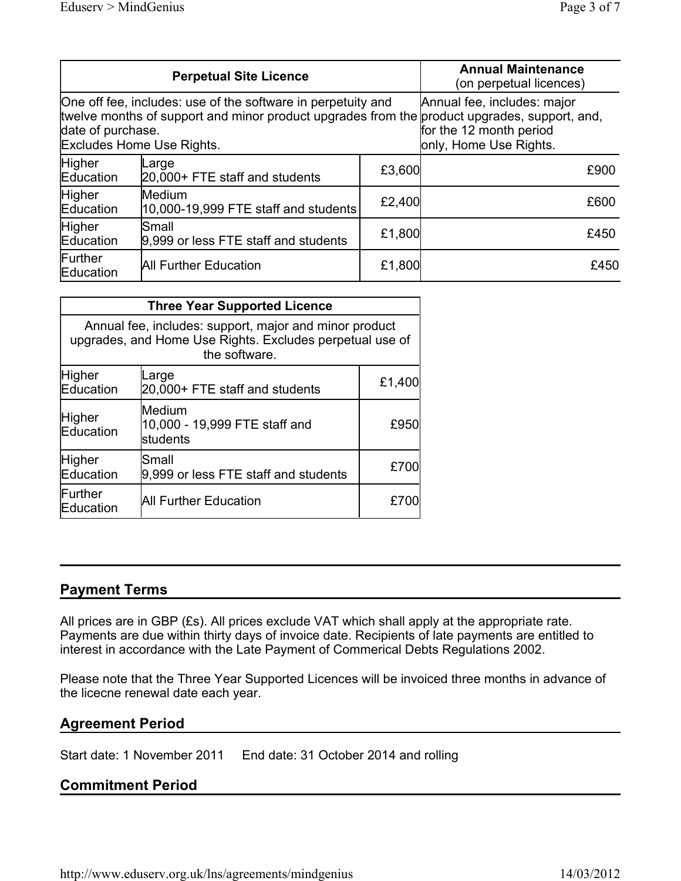| <b>Perpetual Site Licence</b>                                                                                                                                                                                  |                                                |        | <b>Annual Maintenance</b><br>(on perpetual licences)                             |
|----------------------------------------------------------------------------------------------------------------------------------------------------------------------------------------------------------------|------------------------------------------------|--------|----------------------------------------------------------------------------------|
| One off fee, includes: use of the software in perpetuity and<br>twelve months of support and minor product upgrades from the product upgrades, support, and,<br>date of purchase.<br>Excludes Home Use Rights. |                                                |        | Annual fee, includes: major<br>for the 12 month period<br>only, Home Use Rights. |
| Higher<br>Education                                                                                                                                                                                            | Large<br>20,000+ FTE staff and students        | £3,600 | £900                                                                             |
| Higher<br>Education                                                                                                                                                                                            | Medium<br>10,000-19,999 FTE staff and students | £2,400 | £600                                                                             |
| Higher<br>Education                                                                                                                                                                                            | lSmall<br>9,999 or less FTE staff and students | £1,800 | £450                                                                             |
| Further<br>Education                                                                                                                                                                                           | All Further Education                          | £1,800 | £450                                                                             |

| <b>Three Year Supported Licence</b>                                                                                                 |                                                             |        |  |  |  |
|-------------------------------------------------------------------------------------------------------------------------------------|-------------------------------------------------------------|--------|--|--|--|
| Annual fee, includes: support, major and minor product<br>upgrades, and Home Use Rights. Excludes perpetual use of<br>the software. |                                                             |        |  |  |  |
| Higher<br>Education                                                                                                                 | Large<br>20,000+ FTE staff and students                     | £1,400 |  |  |  |
| Higher<br>Education                                                                                                                 | <b>Medium</b><br>10,000 - 19,999 FTE staff and<br>lstudents | £950   |  |  |  |
| Higher<br>Education                                                                                                                 | Small<br>9,999 or less FTE staff and students               | £700   |  |  |  |
| Further<br>Education                                                                                                                | All Further Education                                       | £70    |  |  |  |

#### Payment Terms

All prices are in GBP (£s). All prices exclude VAT which shall apply at the appropriate rate. Payments are due within thirty days of invoice date. Recipients of late payments are entitled to interest in accordance with the Late Payment of Commerical Debts Regulations 2002.

Please note that the Three Year Supported Licences will be invoiced three months in advance of the licecne renewal date each year.

#### Agreement Period

Start date: 1 November 2011 End date: 31 October 2014 and rolling

#### Commitment Period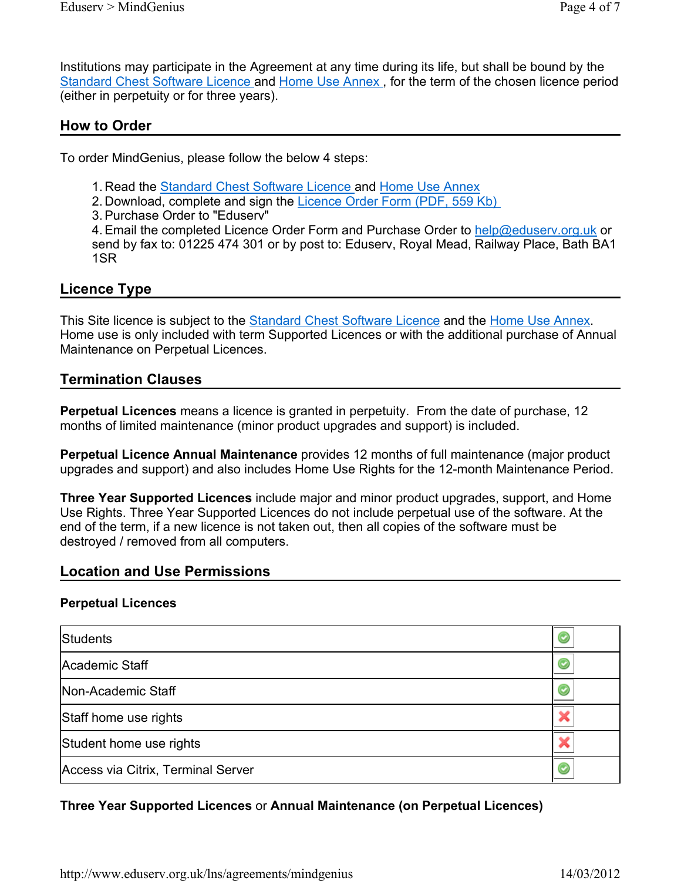Institutions may participate in the Agreement at any time during its life, but shall be bound by the Standard Chest Software Licence and Home Use Annex , for the term of the chosen licence period (either in perpetuity or for three years).

#### How to Order

To order MindGenius, please follow the below 4 steps:

- 1. Read the Standard Chest Software Licence and Home Use Annex
- 2. Download, complete and sign the Licence Order Form (PDF, 559 Kb)
- 3. Purchase Order to "Eduserv"

4. Email the completed Licence Order Form and Purchase Order to help@eduserv.org.uk or send by fax to: 01225 474 301 or by post to: Eduserv, Royal Mead, Railway Place, Bath BA1 1SR

#### Licence Type

This Site licence is subject to the **Standard Chest Software Licence** and the Home Use Annex. Home use is only included with term Supported Licences or with the additional purchase of Annual Maintenance on Perpetual Licences.

#### Termination Clauses

Perpetual Licences means a licence is granted in perpetuity. From the date of purchase, 12 months of limited maintenance (minor product upgrades and support) is included.

Perpetual Licence Annual Maintenance provides 12 months of full maintenance (major product upgrades and support) and also includes Home Use Rights for the 12-month Maintenance Period.

Three Year Supported Licences include major and minor product upgrades, support, and Home Use Rights. Three Year Supported Licences do not include perpetual use of the software. At the end of the term, if a new licence is not taken out, then all copies of the software must be destroyed / removed from all computers.

#### Location and Use Permissions

#### Perpetual Licences

| Students                           |  |
|------------------------------------|--|
| Academic Staff                     |  |
| Non-Academic Staff                 |  |
| Staff home use rights              |  |
| Student home use rights            |  |
| Access via Citrix, Terminal Server |  |

#### Three Year Supported Licences or Annual Maintenance (on Perpetual Licences)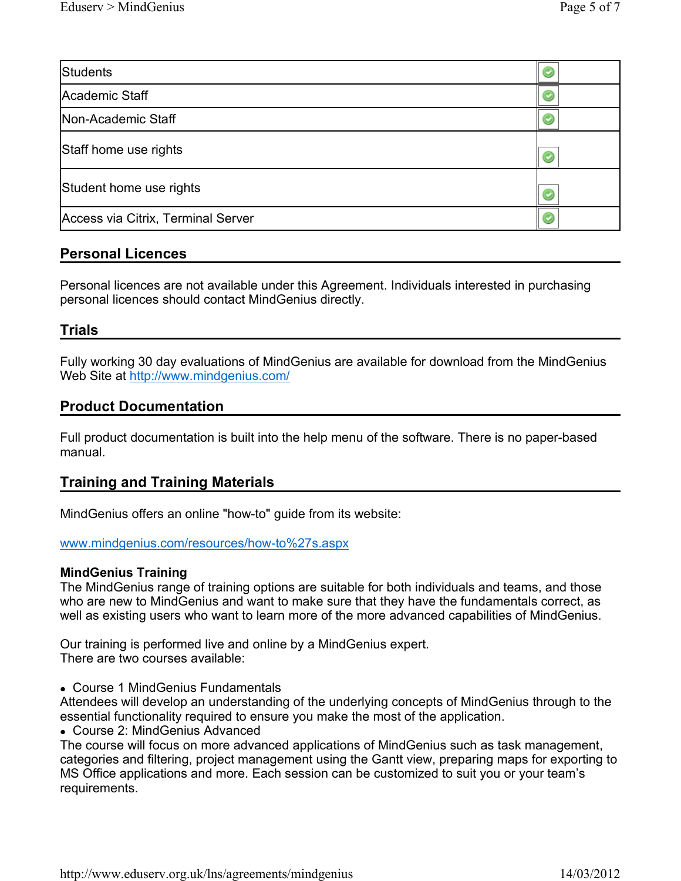| Students                           |  |
|------------------------------------|--|
| Academic Staff                     |  |
| Non-Academic Staff                 |  |
| Staff home use rights              |  |
| Student home use rights            |  |
| Access via Citrix, Terminal Server |  |

#### Personal Licences

Personal licences are not available under this Agreement. Individuals interested in purchasing personal licences should contact MindGenius directly.

#### Trials

Fully working 30 day evaluations of MindGenius are available for download from the MindGenius Web Site at http://www.mindgenius.com/

#### Product Documentation

Full product documentation is built into the help menu of the software. There is no paper-based manual.

#### Training and Training Materials

MindGenius offers an online "how-to" guide from its website:

www.mindgenius.com/resources/how-to%27s.aspx

#### MindGenius Training

The MindGenius range of training options are suitable for both individuals and teams, and those who are new to MindGenius and want to make sure that they have the fundamentals correct, as well as existing users who want to learn more of the more advanced capabilities of MindGenius.

Our training is performed live and online by a MindGenius expert. There are two courses available:

Course 1 MindGenius Fundamentals

Attendees will develop an understanding of the underlying concepts of MindGenius through to the essential functionality required to ensure you make the most of the application.

Course 2: MindGenius Advanced

The course will focus on more advanced applications of MindGenius such as task management, categories and filtering, project management using the Gantt view, preparing maps for exporting to MS Office applications and more. Each session can be customized to suit you or your team's requirements.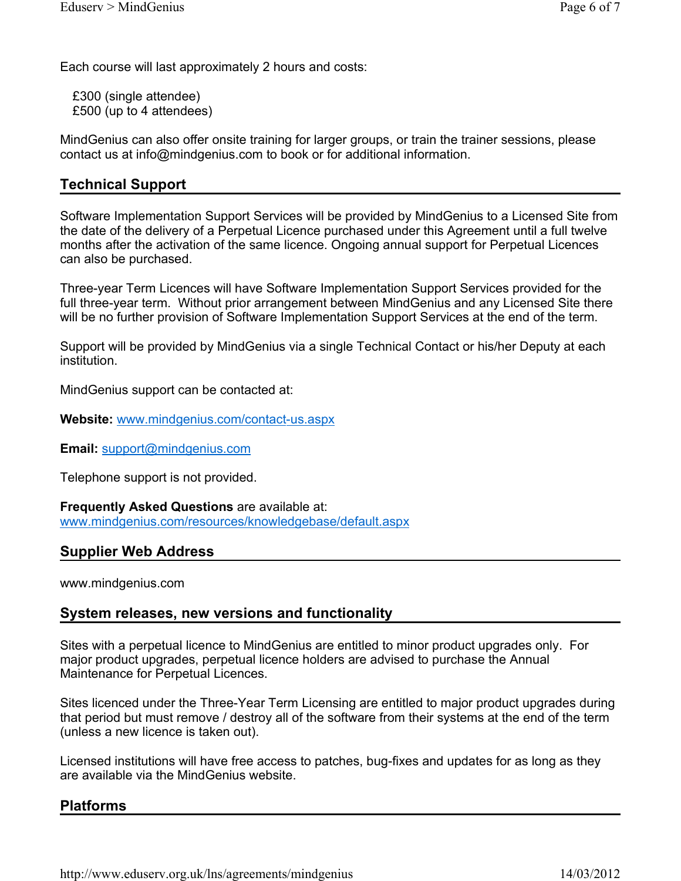Each course will last approximately 2 hours and costs:

£300 (single attendee) £500 (up to 4 attendees)

MindGenius can also offer onsite training for larger groups, or train the trainer sessions, please contact us at info@mindgenius.com to book or for additional information.

#### Technical Support

Software Implementation Support Services will be provided by MindGenius to a Licensed Site from the date of the delivery of a Perpetual Licence purchased under this Agreement until a full twelve months after the activation of the same licence. Ongoing annual support for Perpetual Licences can also be purchased.

Three-year Term Licences will have Software Implementation Support Services provided for the full three-year term. Without prior arrangement between MindGenius and any Licensed Site there will be no further provision of Software Implementation Support Services at the end of the term.

Support will be provided by MindGenius via a single Technical Contact or his/her Deputy at each institution.

MindGenius support can be contacted at:

Website: www.mindgenius.com/contact-us.aspx

Email: support@mindgenius.com

Telephone support is not provided.

Frequently Asked Questions are available at: www.mindgenius.com/resources/knowledgebase/default.aspx

#### Supplier Web Address

www.mindgenius.com

#### System releases, new versions and functionality

Sites with a perpetual licence to MindGenius are entitled to minor product upgrades only. For major product upgrades, perpetual licence holders are advised to purchase the Annual Maintenance for Perpetual Licences.

Sites licenced under the Three-Year Term Licensing are entitled to major product upgrades during that period but must remove / destroy all of the software from their systems at the end of the term (unless a new licence is taken out).

Licensed institutions will have free access to patches, bug-fixes and updates for as long as they are available via the MindGenius website.

#### Platforms